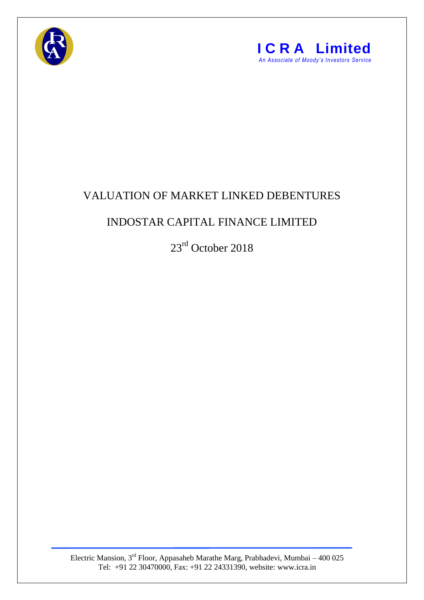



## VALUATION OF MARKET LINKED DEBENTURES

## INDOSTAR CAPITAL FINANCE LIMITED

23<sup>rd</sup> October 2018

Electric Mansion,  $3<sup>rd</sup>$  Floor, Appasaheb Marathe Marg, Prabhadevi, Mumbai – 400 025 Tel: +91 22 30470000, Fax: +91 22 24331390, website: www.icra.in